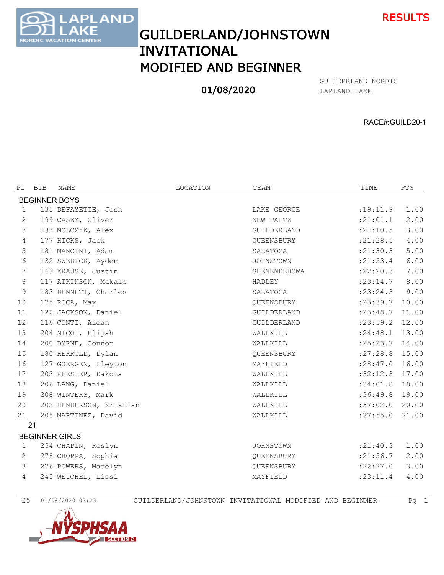



## GUILDERLAND/JOHNSTOWN INVITATIONAL MODIFIED AND BEGINNER

## 01/08/2020

LAPLAND LAKE GULIDERLAND NORDIC

RACE#:GUILD20-1

| PL                   | BIB | NAME                    | LOCATION | TEAM             | TIME             | PTS   |  |
|----------------------|-----|-------------------------|----------|------------------|------------------|-------|--|
| <b>BEGINNER BOYS</b> |     |                         |          |                  |                  |       |  |
| $\mathbf{1}$         |     | 135 DEFAYETTE, Josh     |          | LAKE GEORGE      | :19:11.9         | 1.00  |  |
| 2                    |     | 199 CASEY, Oliver       |          | NEW PALTZ        | : 21:01.1        | 2.00  |  |
| 3                    |     | 133 MOLCZYK, Alex       |          | GUILDERLAND      | : 21: 10.5       | 3.00  |  |
| $\overline{4}$       |     | 177 HICKS, Jack         |          | OUEENSBURY       | : 21: 28.5       | 4.00  |  |
| 5                    |     | 181 MANCINI, Adam       |          | SARATOGA         | : 21: 30.3       | 5.00  |  |
| 6                    |     | 132 SWEDICK, Ayden      |          | <b>JOHNSTOWN</b> | : 21: 53.4       | 6.00  |  |
| 7                    |     | 169 KRAUSE, Justin      |          | SHENENDEHOWA     | :22:20.3         | 7.00  |  |
| 8                    |     | 117 ATKINSON, Makalo    |          | HADLEY           | : 23: 14.7       | 8.00  |  |
| 9                    |     | 183 DENNETT, Charles    |          | SARATOGA         | : 23: 24.3       | 9.00  |  |
| 10                   |     | 175 ROCA, Max           |          | OUEENSBURY       | : 23: 39.7       | 10.00 |  |
| 11                   |     | 122 JACKSON, Daniel     |          | GUILDERLAND      | : 23: 48.7       | 11.00 |  |
| 12                   |     | 116 CONTI, Aidan        |          | GUILDERLAND      | : 23: 59.2 12.00 |       |  |
| 13                   |     | 204 NICOL, Elijah       |          | WALLKILL         | : 24:48.1        | 13.00 |  |
| 14                   |     | 200 BYRNE, Connor       |          | WALLKILL         | : 25: 23.7       | 14.00 |  |
| 15                   |     | 180 HERROLD, Dylan      |          | QUEENSBURY       | :27:28.8         | 15.00 |  |
| 16                   |     | 127 GOERGEN, Lleyton    |          | MAYFIELD         | : 28: 47.0       | 16.00 |  |
| 17                   |     | 203 KEESLER, Dakota     |          | WALLKILL         | $:32:12.3$ 17.00 |       |  |
| 18                   |     | 206 LANG, Daniel        |          | WALLKILL         | :34:01.8         | 18.00 |  |
| 19                   |     | 208 WINTERS, Mark       |          | WALLKILL         | $:36:49.8$ 19.00 |       |  |
| 20                   |     | 202 HENDERSON, Kristian |          | WALLKILL         | :37:02.0         | 20.00 |  |
| 21                   |     | 205 MARTINEZ, David     |          | WALLKILL         | :37:55.0         | 21.00 |  |
|                      | 21  |                         |          |                  |                  |       |  |
|                      |     | <b>BEGINNER GIRLS</b>   |          |                  |                  |       |  |
| $\mathbf 1$          |     | 254 CHAPIN, Roslyn      |          | <b>JOHNSTOWN</b> | : 21: 40.3       | 1.00  |  |
| 2                    |     | 278 CHOPPA, Sophia      |          | QUEENSBURY       | : 21:56.7        | 2.00  |  |
| 3                    |     | 276 POWERS, Madelyn     |          | QUEENSBURY       | :22:27.0         | 3.00  |  |
| $\overline{4}$       |     | 245 WEICHEL, Lissi      |          | MAYFIELD         | : 23: 11.4       | 4.00  |  |
|                      |     |                         |          |                  |                  |       |  |

01/08/2020 03:23 GUILDERLAND/JOHNSTOWN INVITATIONAL MODIFIED AND BEGINNER Pg 1

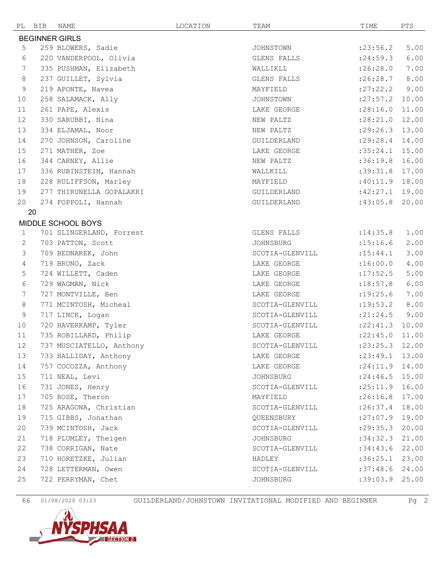|                       | PL BIB | NAME                     | LOCATION | TEAM            | TIME               | PTS   |  |
|-----------------------|--------|--------------------------|----------|-----------------|--------------------|-------|--|
| <b>BEGINNER GIRLS</b> |        |                          |          |                 |                    |       |  |
| 5                     |        | 259 BLOWERS, Sadie       |          | JOHNSTOWN       | : 23:56.2          | 5.00  |  |
| 6                     |        | 220 VANDERPOOL, Olivia   |          | GLENS FALLS     | : 24:59.3          | 6.00  |  |
| 7                     |        | 335 PUSHMAN, Elizabeth   |          | WALLIKLL        | :26:28.0           | 7.00  |  |
| 8                     |        | 237 GUILLET, Sylvia      |          | GLENS FALLS     | :26:28.7           | 8.00  |  |
| 9                     |        | 219 APONTE, Navea        |          | MAYFIELD        | : 27: 22.2         | 9.00  |  |
| 10                    |        | 258 SALAMACK, Ally       |          | JOHNSTOWN       | : 27: 57.2         | 10.00 |  |
| 11                    |        | 261 PAPE, Alexis         |          | LAKE GEORGE     | : 28:16.0          | 11.00 |  |
| 12                    |        | 330 SARUBBI, Nina        |          | NEW PALTZ       | :28:21.0           | 12.00 |  |
| 13                    |        | 334 ELJAMAL, Noor        |          | NEW PALTZ       | : 29:26.3          | 13.00 |  |
| 14                    |        | 270 JOHNSON, Caroline    |          | GUILDERLAND     | $: 29:28.4$ 14.00  |       |  |
| 15                    |        | 271 MATHER, Zoe          |          | LAKE GEORGE     | $:35:24.1$ 15.00   |       |  |
| 16                    |        | 344 CARNEY, Allie        |          | NEW PALTZ       | :36:19.8           | 16.00 |  |
| 17                    |        | 336 RUBINSTEIN, Hannah   |          | WALLKILL        | :39:31.8           | 17.00 |  |
| 18                    |        | 228 RULIFFSON, Marley    |          | MAYFIELD        | $:40:11.9$ 18.00   |       |  |
| 19                    |        | 277 THIRUNELLA GOPALAKRI |          | GUILDERLAND     | :42:27.1           | 19.00 |  |
| 20                    |        | 274 FOPPOLI, Hannah      |          | GUILDERLAND     | :43:05.8           | 20.00 |  |
|                       | 20     |                          |          |                 |                    |       |  |
|                       |        | MIDDLE SCHOOL BOYS       |          |                 |                    |       |  |
| $\mathbf{1}$          |        | 701 SLINGERLAND, Forrest |          | GLENS FALLS     | :14:35.8           | 1.00  |  |
| 2                     |        | 703 PATTON, Scott        |          | JOHNSBURG       | :15:16.6           | 2.00  |  |
| 3                     |        | 709 BEDNAREK, John       |          | SCOTIA-GLENVILL | : 15: 44.1         | 3.00  |  |
| 4                     |        | 719 BRUNO, Zack          |          | LAKE GEORGE     | :16:00.0           | 4.00  |  |
| 5                     |        | 724 WILLETT, Caden       |          | LAKE GEORGE     | :17:52.5           | 5.00  |  |
| 6                     |        | 729 WAGMAN, Nick         |          | LAKE GEORGE     | :18:57.8           | 6.00  |  |
| 7                     |        | 727 MONTVILLE, Ben       |          | LAKE GEORGE     | :19:25.6           | 7.00  |  |
| 8                     |        | 771 MCINTOSH, Micheal    |          | SCOTIA-GLENVILL | : 19: 53.2         | 8.00  |  |
| 9                     |        | 717 LINCK, Logan         |          | SCOTIA-GLENVILL | : 21: 24.5         | 9.00  |  |
| 10                    |        | 720 HAVERKAMP, Tyler     |          | SCOTIA-GLENVILL | :22:41.3           | 10.00 |  |
| 11                    |        | 735 ROBILLARD, Philip    |          | LAKE GEORGE     | : 22: 45.0         | 11.00 |  |
| 12                    |        | 737 MUSCIATELLO, Anthony |          | SCOTIA-GLENVILL | $: 23: 25.3$ 12.00 |       |  |
| 13                    |        | 733 HALLIDAY, Anthony    |          | LAKE GEORGE     | $: 23: 49.1$ 13.00 |       |  |
| 14                    |        | 757 COCOZZA, Anthony     |          | LAKE GEORGE     | : 24:11.9          | 14.00 |  |
| 15                    |        | 711 NEAL, Levi           |          | JOHNSBURG       | $: 24:46.5$ 15.00  |       |  |
| 16                    |        | 731 JONES, Henry         |          | SCOTIA-GLENVILL | :25:11.9           | 16.00 |  |
| 17                    |        | 705 ROSE, Theron         |          | MAYFIELD        | :26:16.8           | 17.00 |  |
| 18                    |        | 725 ARAGONA, Christian   |          | SCOTIA-GLENVILL | $: 26:37.4$ 18.00  |       |  |
| 19                    |        | 715 GIBBS, Jonathan      |          | QUEENSBURY      | :27:07.9           | 19.00 |  |
| 20                    |        | 739 MCINTOSH, Jack       |          | SCOTIA-GLENVILL | : 29: 35.3         | 20.00 |  |
| 21                    |        | 718 PLUMLEY, Theigen     |          | JOHNSBURG       | :34:32.3           | 21.00 |  |
| 22                    |        | 738 CORRIGAN, Nate       |          | SCOTIA-GLENVILL | :34:43.6           | 22.00 |  |
| 23                    |        | 710 HORETZKE, Julian     |          | HADLEY          | :36:25.1           | 23.00 |  |
| 24                    |        | 728 LETTERMAN, Owen      |          | SCOTIA-GLENVILL | :37:48.6           | 24.00 |  |
| 25                    |        | 722 PERRYMAN, Chet       |          | JOHNSBURG       | :39:03.9           | 25.00 |  |